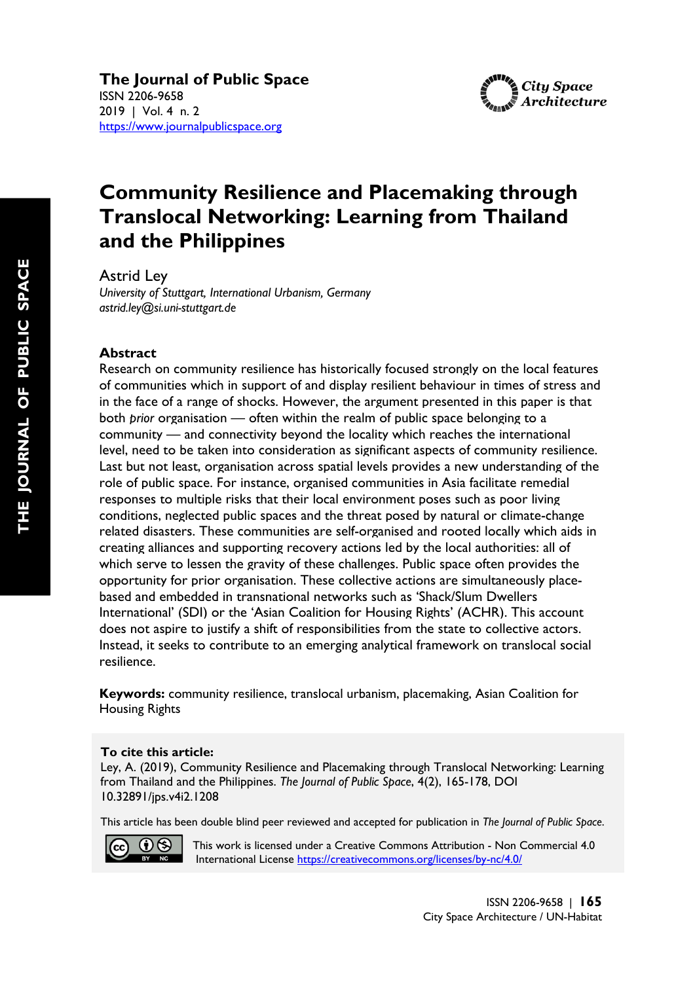

# **Community Resilience and Placemaking through Translocal Networking: Learning from Thailand and the Philippines**

Astrid Ley

*University of Stuttgart, International Urbanism, Germany astrid.ley@si.uni-stuttgart.de*

# **Abstract**

Research on community resilience has historically focused strongly on the local features of communities which in support of and display resilient behaviour in times of stress and in the face of a range of shocks. However, the argument presented in this paper is that both *prior* organisation — often within the realm of public space belonging to a community — and connectivity beyond the locality which reaches the international level, need to be taken into consideration as significant aspects of community resilience. Last but not least, organisation across spatial levels provides a new understanding of the role of public space. For instance, organised communities in Asia facilitate remedial responses to multiple risks that their local environment poses such as poor living conditions, neglected public spaces and the threat posed by natural or climate-change related disasters. These communities are self-organised and rooted locally which aids in creating alliances and supporting recovery actions led by the local authorities: all of which serve to lessen the gravity of these challenges. Public space often provides the opportunity for prior organisation. These collective actions are simultaneously placebased and embedded in transnational networks such as 'Shack/Slum Dwellers International' (SDI) or the 'Asian Coalition for Housing Rights' (ACHR). This account does not aspire to justify a shift of responsibilities from the state to collective actors. Instead, it seeks to contribute to an emerging analytical framework on translocal social resilience.

**Keywords:** community resilience, translocal urbanism, placemaking, Asian Coalition for Housing Rights

## **To cite this article:**

 from Thailand and the Philippines. *The Journal of Public Space*, 4(2), 165-178, DOI Ley, A. (2019), Community Resilience and Placemaking through Translocal Networking: Learning 10.32891/jps.v4i2.1208

This article has been double blind peer reviewed and accepted for publication in *The Journal of Public Space*.



 This work is licensed under a Creative Commons Attribution - Non Commercial 4.0 International License https://creativecommons.org/licenses/by-nc/4.0/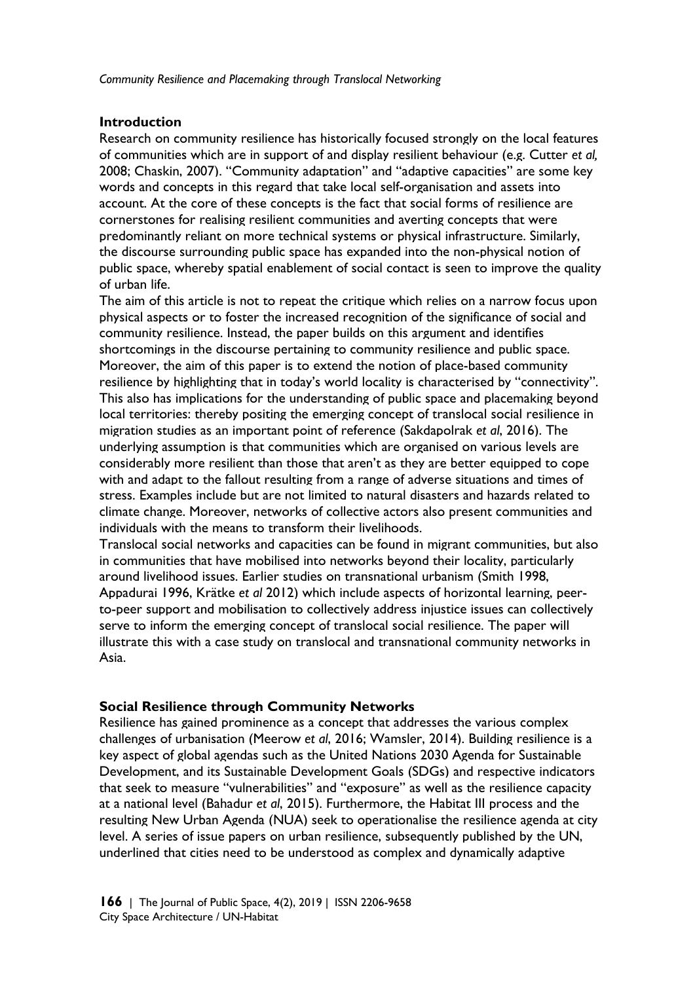## **Introduction**

Research on community resilience has historically focused strongly on the local features of communities which are in support of and display resilient behaviour (e.g. Cutter *et al,* 2008; Chaskin, 2007). "Community adaptation" and "adaptive capacities" are some key words and concepts in this regard that take local self-organisation and assets into account. At the core of these concepts is the fact that social forms of resilience are cornerstones for realising resilient communities and averting concepts that were predominantly reliant on more technical systems or physical infrastructure. Similarly, the discourse surrounding public space has expanded into the non-physical notion of public space, whereby spatial enablement of social contact is seen to improve the quality of urban life.

The aim of this article is not to repeat the critique which relies on a narrow focus upon physical aspects or to foster the increased recognition of the significance of social and community resilience. Instead, the paper builds on this argument and identifies shortcomings in the discourse pertaining to community resilience and public space. Moreover, the aim of this paper is to extend the notion of place-based community resilience by highlighting that in today's world locality is characterised by "connectivity". This also has implications for the understanding of public space and placemaking beyond local territories: thereby positing the emerging concept of translocal social resilience in migration studies as an important point of reference (Sakdapolrak *et al*, 2016). The underlying assumption is that communities which are organised on various levels are considerably more resilient than those that aren't as they are better equipped to cope with and adapt to the fallout resulting from a range of adverse situations and times of stress. Examples include but are not limited to natural disasters and hazards related to climate change. Moreover, networks of collective actors also present communities and individuals with the means to transform their livelihoods.

Translocal social networks and capacities can be found in migrant communities, but also in communities that have mobilised into networks beyond their locality, particularly around livelihood issues. Earlier studies on transnational urbanism (Smith 1998, Appadurai 1996, Krätke *et al* 2012) which include aspects of horizontal learning, peerto-peer support and mobilisation to collectively address injustice issues can collectively serve to inform the emerging concept of translocal social resilience. The paper will illustrate this with a case study on translocal and transnational community networks in Asia.

## **Social Resilience through Community Networks**

Resilience has gained prominence as a concept that addresses the various complex challenges of urbanisation (Meerow *et al*, 2016; Wamsler, 2014). Building resilience is a key aspect of global agendas such as the United Nations 2030 Agenda for Sustainable Development, and its Sustainable Development Goals (SDGs) and respective indicators that seek to measure "vulnerabilities" and "exposure" as well as the resilience capacity at a national level (Bahadur *et al*, 2015). Furthermore, the Habitat III process and the resulting New Urban Agenda (NUA) seek to operationalise the resilience agenda at city level. A series of issue papers on urban resilience, subsequently published by the UN, underlined that cities need to be understood as complex and dynamically adaptive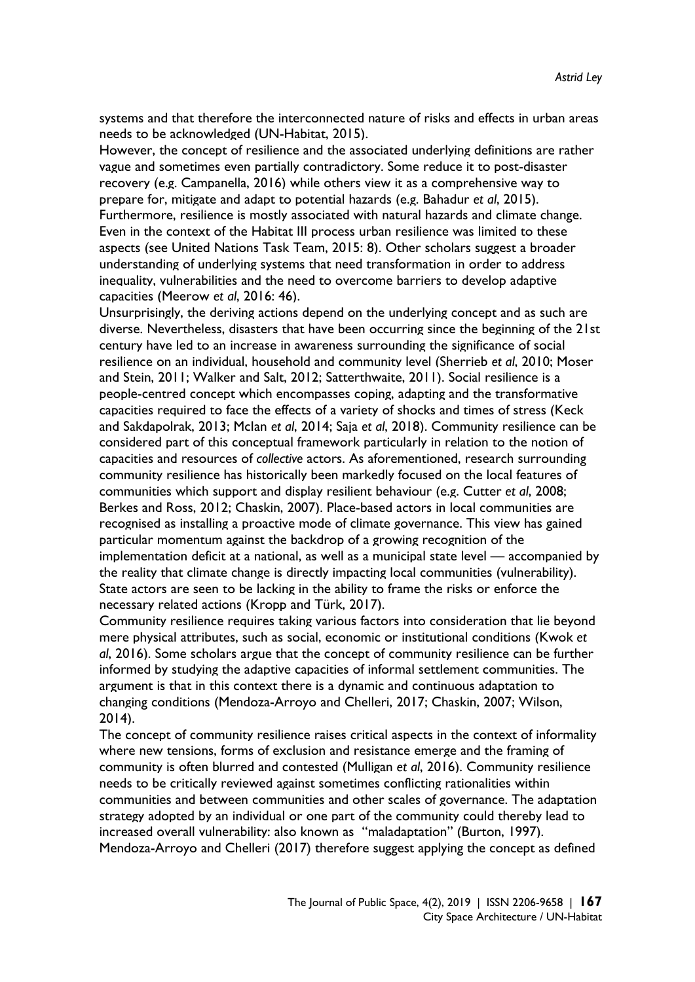systems and that therefore the interconnected nature of risks and effects in urban areas needs to be acknowledged (UN-Habitat, 2015).

However, the concept of resilience and the associated underlying definitions are rather vague and sometimes even partially contradictory. Some reduce it to post-disaster recovery (e.g. Campanella, 2016) while others view it as a comprehensive way to prepare for, mitigate and adapt to potential hazards (e.g. Bahadur *et al*, 2015). Furthermore, resilience is mostly associated with natural hazards and climate change. Even in the context of the Habitat III process urban resilience was limited to these aspects (see United Nations Task Team, 2015: 8). Other scholars suggest a broader understanding of underlying systems that need transformation in order to address inequality, vulnerabilities and the need to overcome barriers to develop adaptive capacities (Meerow *et al*, 2016: 46).

Unsurprisingly, the deriving actions depend on the underlying concept and as such are diverse. Nevertheless, disasters that have been occurring since the beginning of the 21st century have led to an increase in awareness surrounding the significance of social resilience on an individual, household and community level (Sherrieb *et al*, 2010; Moser and Stein, 2011; Walker and Salt, 2012; Satterthwaite, 2011). Social resilience is a people-centred concept which encompasses coping, adapting and the transformative capacities required to face the effects of a variety of shocks and times of stress (Keck and Sakdapolrak, 2013; McIan *et al*, 2014; Saja *et al*, 2018). Community resilience can be considered part of this conceptual framework particularly in relation to the notion of capacities and resources of *collective* actors. As aforementioned, research surrounding community resilience has historically been markedly focused on the local features of communities which support and display resilient behaviour (e.g. Cutter *et al*, 2008; Berkes and Ross, 2012; Chaskin, 2007). Place-based actors in local communities are recognised as installing a proactive mode of climate governance. This view has gained particular momentum against the backdrop of a growing recognition of the implementation deficit at a national, as well as a municipal state level — accompanied by the reality that climate change is directly impacting local communities (vulnerability). State actors are seen to be lacking in the ability to frame the risks or enforce the necessary related actions (Kropp and Türk, 2017).

Community resilience requires taking various factors into consideration that lie beyond mere physical attributes, such as social, economic or institutional conditions (Kwok *et al*, 2016). Some scholars argue that the concept of community resilience can be further informed by studying the adaptive capacities of informal settlement communities. The argument is that in this context there is a dynamic and continuous adaptation to changing conditions (Mendoza-Arroyo and Chelleri, 2017; Chaskin, 2007; Wilson, 2014).

The concept of community resilience raises critical aspects in the context of informality where new tensions, forms of exclusion and resistance emerge and the framing of community is often blurred and contested (Mulligan *et al*, 2016). Community resilience needs to be critically reviewed against sometimes conflicting rationalities within communities and between communities and other scales of governance. The adaptation strategy adopted by an individual or one part of the community could thereby lead to increased overall vulnerability: also known as "maladaptation" (Burton, 1997). Mendoza-Arroyo and Chelleri (2017) therefore suggest applying the concept as defined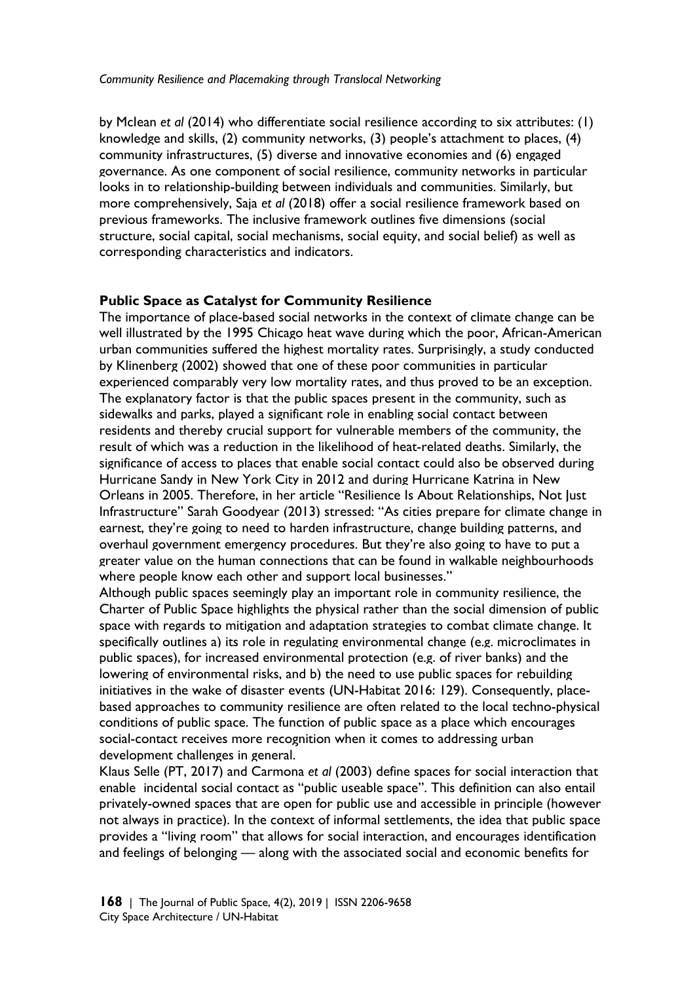by McIean *et al* (2014) who differentiate social resilience according to six attributes: (1) knowledge and skills, (2) community networks, (3) people's attachment to places, (4) community infrastructures, (5) diverse and innovative economies and (6) engaged governance. As one component of social resilience, community networks in particular looks in to relationship-building between individuals and communities. Similarly, but more comprehensively, Saja *et al* (2018) offer a social resilience framework based on previous frameworks. The inclusive framework outlines five dimensions (social structure, social capital, social mechanisms, social equity, and social belief) as well as corresponding characteristics and indicators.

# **Public Space as Catalyst for Community Resilience**

The importance of place-based social networks in the context of climate change can be well illustrated by the 1995 Chicago heat wave during which the poor, African-American urban communities suffered the highest mortality rates. Surprisingly, a study conducted by Klinenberg (2002) showed that one of these poor communities in particular experienced comparably very low mortality rates, and thus proved to be an exception. The explanatory factor is that the public spaces present in the community, such as sidewalks and parks, played a significant role in enabling social contact between residents and thereby crucial support for vulnerable members of the community, the result of which was a reduction in the likelihood of heat-related deaths. Similarly, the significance of access to places that enable social contact could also be observed during Hurricane Sandy in New York City in 2012 and during Hurricane Katrina in New Orleans in 2005. Therefore, in her article "Resilience Is About Relationships, Not Just Infrastructure" Sarah Goodyear (2013) stressed: "As cities prepare for climate change in earnest, they're going to need to harden infrastructure, change building patterns, and overhaul government emergency procedures. But they're also going to have to put a greater value on the human connections that can be found in walkable neighbourhoods where people know each other and support local businesses."

Although public spaces seemingly play an important role in community resilience, the Charter of Public Space highlights the physical rather than the social dimension of public space with regards to mitigation and adaptation strategies to combat climate change. It specifically outlines a) its role in regulating environmental change (e.g. microclimates in public spaces), for increased environmental protection (e.g. of river banks) and the lowering of environmental risks, and b) the need to use public spaces for rebuilding initiatives in the wake of disaster events (UN-Habitat 2016: 129). Consequently, placebased approaches to community resilience are often related to the local techno-physical conditions of public space. The function of public space as a place which encourages social-contact receives more recognition when it comes to addressing urban development challenges in general.

Klaus Selle (PT, 2017) and Carmona *et al* (2003) define spaces for social interaction that enable incidental social contact as "public useable space". This definition can also entail privately-owned spaces that are open for public use and accessible in principle (however not always in practice). In the context of informal settlements, the idea that public space provides a "living room" that allows for social interaction, and encourages identification and feelings of belonging — along with the associated social and economic benefits for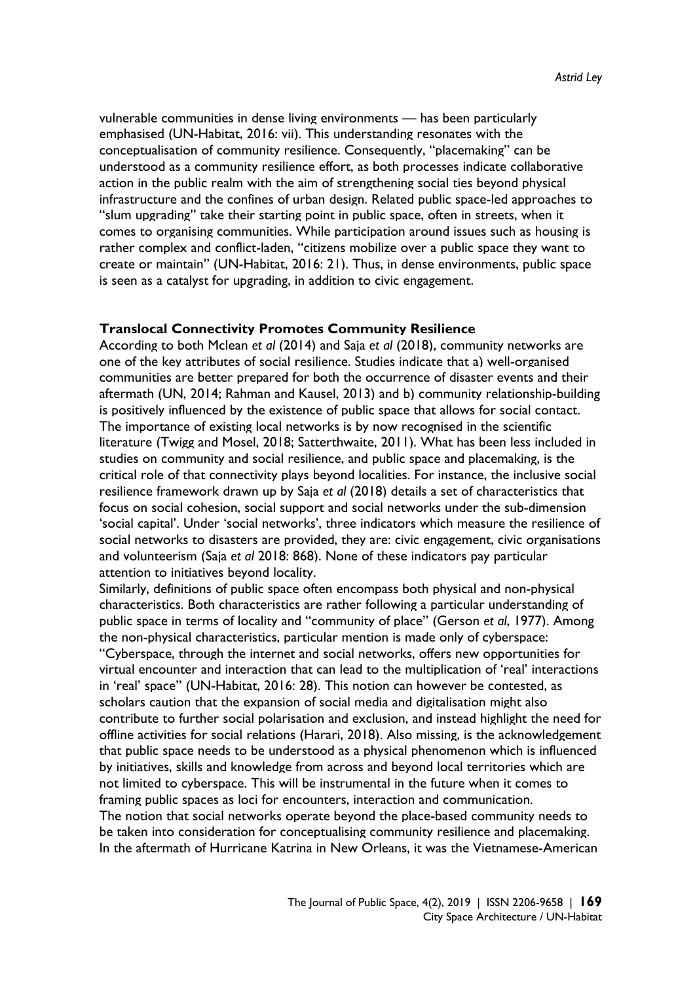vulnerable communities in dense living environments — has been particularly emphasised (UN-Habitat, 2016: vii). This understanding resonates with the conceptualisation of community resilience. Consequently, "placemaking" can be understood as a community resilience effort, as both processes indicate collaborative action in the public realm with the aim of strengthening social ties beyond physical infrastructure and the confines of urban design. Related public space-led approaches to "slum upgrading" take their starting point in public space, often in streets, when it comes to organising communities. While participation around issues such as housing is rather complex and conflict-laden, "citizens mobilize over a public space they want to create or maintain" (UN-Habitat, 2016: 21). Thus, in dense environments, public space is seen as a catalyst for upgrading, in addition to civic engagement.

#### **Translocal Connectivity Promotes Community Resilience**

According to both McIean *et al* (2014) and Saja *et al* (2018), community networks are one of the key attributes of social resilience. Studies indicate that a) well-organised communities are better prepared for both the occurrence of disaster events and their aftermath (UN, 2014; Rahman and Kausel, 2013) and b) community relationship-building is positively influenced by the existence of public space that allows for social contact. The importance of existing local networks is by now recognised in the scientific literature (Twigg and Mosel, 2018; Satterthwaite, 2011). What has been less included in studies on community and social resilience, and public space and placemaking, is the critical role of that connectivity plays beyond localities. For instance, the inclusive social resilience framework drawn up by Saja *et al* (2018) details a set of characteristics that focus on social cohesion, social support and social networks under the sub-dimension 'social capital'. Under 'social networks', three indicators which measure the resilience of social networks to disasters are provided, they are: civic engagement, civic organisations and volunteerism (Saja *et al* 2018: 868). None of these indicators pay particular attention to initiatives beyond locality.

Similarly, definitions of public space often encompass both physical and non-physical characteristics. Both characteristics are rather following a particular understanding of public space in terms of locality and "community of place" (Gerson *et al*, 1977). Among the non-physical characteristics, particular mention is made only of cyberspace: "Cyberspace, through the internet and social networks, offers new opportunities for virtual encounter and interaction that can lead to the multiplication of 'real' interactions in 'real' space" (UN-Habitat, 2016: 28). This notion can however be contested, as scholars caution that the expansion of social media and digitalisation might also contribute to further social polarisation and exclusion, and instead highlight the need for offline activities for social relations (Harari, 2018). Also missing, is the acknowledgement that public space needs to be understood as a physical phenomenon which is influenced by initiatives, skills and knowledge from across and beyond local territories which are not limited to cyberspace. This will be instrumental in the future when it comes to framing public spaces as loci for encounters, interaction and communication.

The notion that social networks operate beyond the place-based community needs to be taken into consideration for conceptualising community resilience and placemaking. In the aftermath of Hurricane Katrina in New Orleans, it was the Vietnamese-American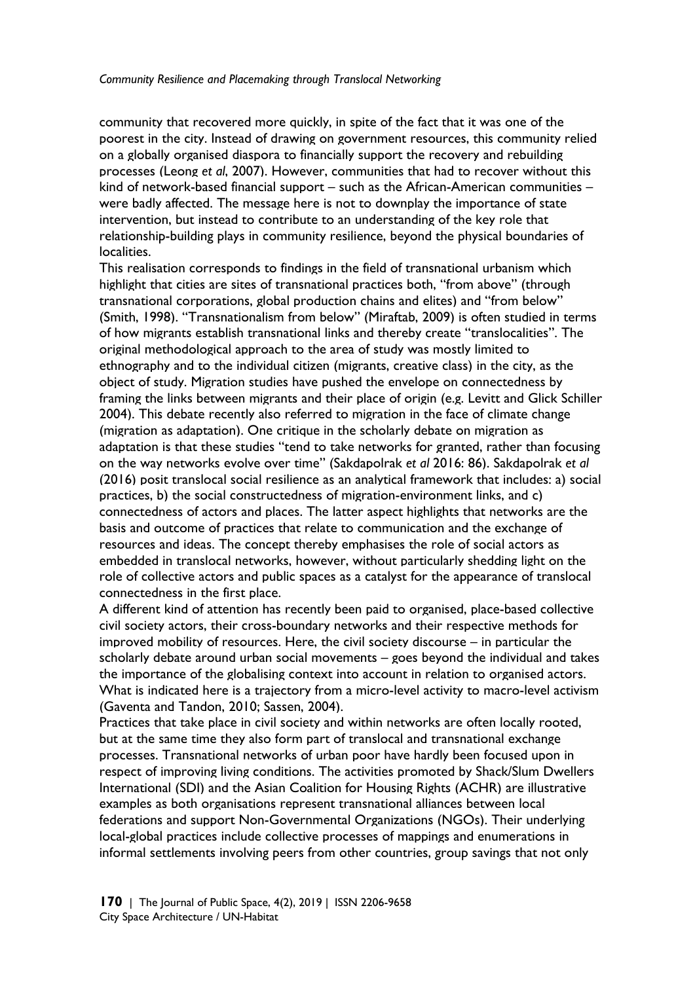community that recovered more quickly, in spite of the fact that it was one of the poorest in the city. Instead of drawing on government resources, this community relied on a globally organised diaspora to financially support the recovery and rebuilding processes (Leong *et al*, 2007). However, communities that had to recover without this kind of network-based financial support – such as the African-American communities – were badly affected. The message here is not to downplay the importance of state intervention, but instead to contribute to an understanding of the key role that relationship-building plays in community resilience, beyond the physical boundaries of localities.

This realisation corresponds to findings in the field of transnational urbanism which highlight that cities are sites of transnational practices both, "from above" (through transnational corporations, global production chains and elites) and "from below" (Smith, 1998). "Transnationalism from below" (Miraftab, 2009) is often studied in terms of how migrants establish transnational links and thereby create "translocalities". The original methodological approach to the area of study was mostly limited to ethnography and to the individual citizen (migrants, creative class) in the city, as the object of study. Migration studies have pushed the envelope on connectedness by framing the links between migrants and their place of origin (e.g. Levitt and Glick Schiller 2004). This debate recently also referred to migration in the face of climate change (migration as adaptation). One critique in the scholarly debate on migration as adaptation is that these studies "tend to take networks for granted, rather than focusing on the way networks evolve over time" (Sakdapolrak *et al* 2016: 86). Sakdapolrak *et al* (2016) posit translocal social resilience as an analytical framework that includes: a) social practices, b) the social constructedness of migration-environment links, and c) connectedness of actors and places. The latter aspect highlights that networks are the basis and outcome of practices that relate to communication and the exchange of resources and ideas. The concept thereby emphasises the role of social actors as embedded in translocal networks, however, without particularly shedding light on the role of collective actors and public spaces as a catalyst for the appearance of translocal connectedness in the first place.

A different kind of attention has recently been paid to organised, place-based collective civil society actors, their cross-boundary networks and their respective methods for improved mobility of resources. Here, the civil society discourse – in particular the scholarly debate around urban social movements – goes beyond the individual and takes the importance of the globalising context into account in relation to organised actors. What is indicated here is a trajectory from a micro-level activity to macro-level activism (Gaventa and Tandon, 2010; Sassen, 2004).

Practices that take place in civil society and within networks are often locally rooted, but at the same time they also form part of translocal and transnational exchange processes. Transnational networks of urban poor have hardly been focused upon in respect of improving living conditions. The activities promoted by Shack/Slum Dwellers International (SDI) and the Asian Coalition for Housing Rights (ACHR) are illustrative examples as both organisations represent transnational alliances between local federations and support Non-Governmental Organizations (NGOs). Their underlying local-global practices include collective processes of mappings and enumerations in informal settlements involving peers from other countries, group savings that not only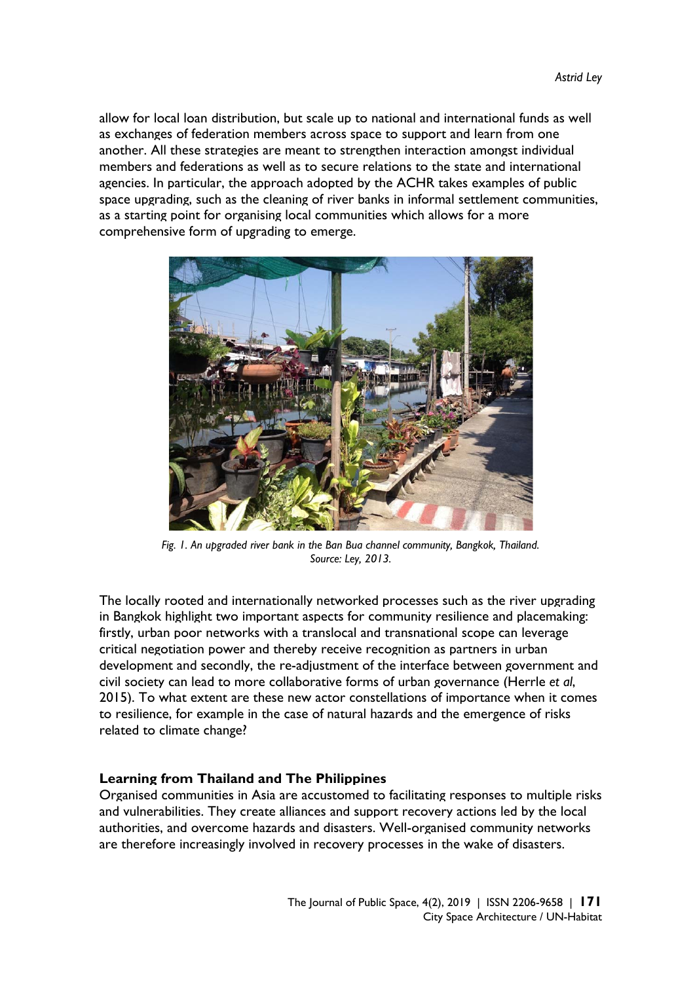allow for local loan distribution, but scale up to national and international funds as well as exchanges of federation members across space to support and learn from one another. All these strategies are meant to strengthen interaction amongst individual members and federations as well as to secure relations to the state and international agencies. In particular, the approach adopted by the ACHR takes examples of public space upgrading, such as the cleaning of river banks in informal settlement communities, as a starting point for organising local communities which allows for a more comprehensive form of upgrading to emerge.



*Fig. 1. An upgraded river bank in the Ban Bua channel community, Bangkok, Thailand. Source: Ley, 2013.*

The locally rooted and internationally networked processes such as the river upgrading in Bangkok highlight two important aspects for community resilience and placemaking: firstly, urban poor networks with a translocal and transnational scope can leverage critical negotiation power and thereby receive recognition as partners in urban development and secondly, the re-adjustment of the interface between government and civil society can lead to more collaborative forms of urban governance (Herrle *et al*, 2015). To what extent are these new actor constellations of importance when it comes to resilience, for example in the case of natural hazards and the emergence of risks related to climate change?

# **Learning from Thailand and The Philippines**

Organised communities in Asia are accustomed to facilitating responses to multiple risks and vulnerabilities. They create alliances and support recovery actions led by the local authorities, and overcome hazards and disasters. Well-organised community networks are therefore increasingly involved in recovery processes in the wake of disasters.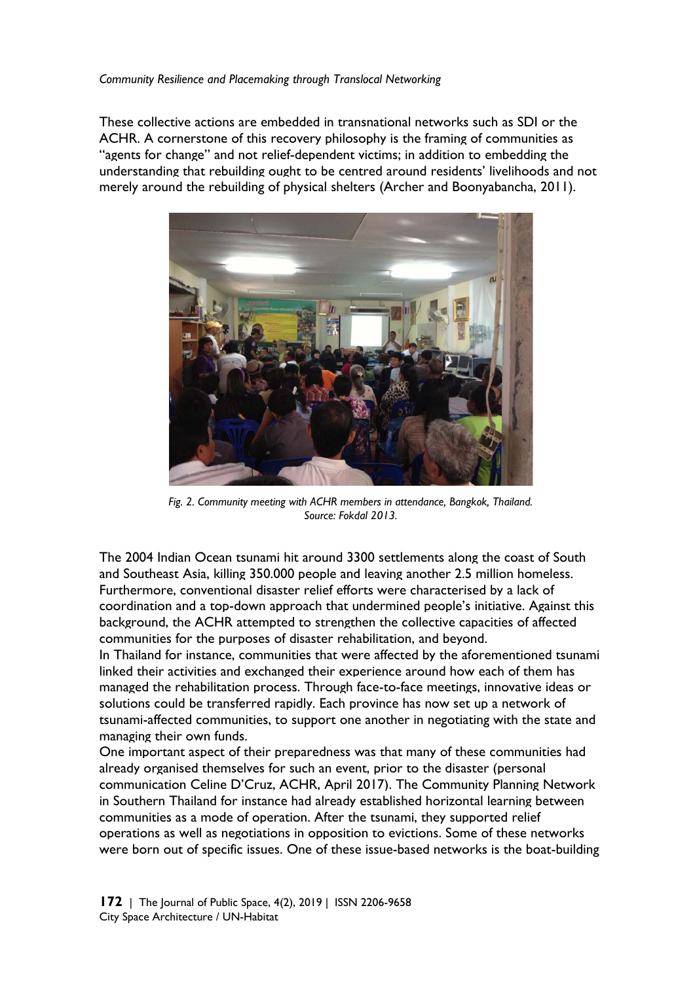#### *Community Resilience and Placemaking through Translocal Networking*

These collective actions are embedded in transnational networks such as SDI or the ACHR. A cornerstone of this recovery philosophy is the framing of communities as "agents for change" and not relief-dependent victims; in addition to embedding the understanding that rebuilding ought to be centred around residents' livelihoods and not merely around the rebuilding of physical shelters (Archer and Boonyabancha, 2011).



Fig. 2. Community meeting with ACHR members in attendance, Bangkok, Thailand. *Source: Fokdal 2013.* 

The 2004 Indian Ocean tsunami hit around 3300 settlements along the coast of South and Southeast Asia, killing 350.000 people and leaving another 2.5 million homeless. Furthermore, conventional disaster relief efforts were characterised by a lack of coordination and a top-down approach that undermined people's initiative. Against this background, the ACHR attempted to strengthen the collective capacities of affected communities for the purposes of disaster rehabilitation, and beyond.

In Thailand for instance, communities that were affected by the aforementioned tsunami linked their activities and exchanged their experience around how each of them has managed the rehabilitation process. Through face-to-face meetings, innovative ideas or solutions could be transferred rapidly. Each province has now set up a network of tsunami-affected communities, to support one another in negotiating with the state and managing their own funds.

One important aspect of their preparedness was that many of these communities had already organised themselves for such an event, prior to the disaster (personal communication Celine D'Cruz, ACHR, April 2017). The Community Planning Network in Southern Thailand for instance had already established horizontal learning between communities as a mode of operation. After the tsunami, they supported relief operations as well as negotiations in opposition to evictions. Some of these networks were born out of specific issues. One of these issue-based networks is the boat-building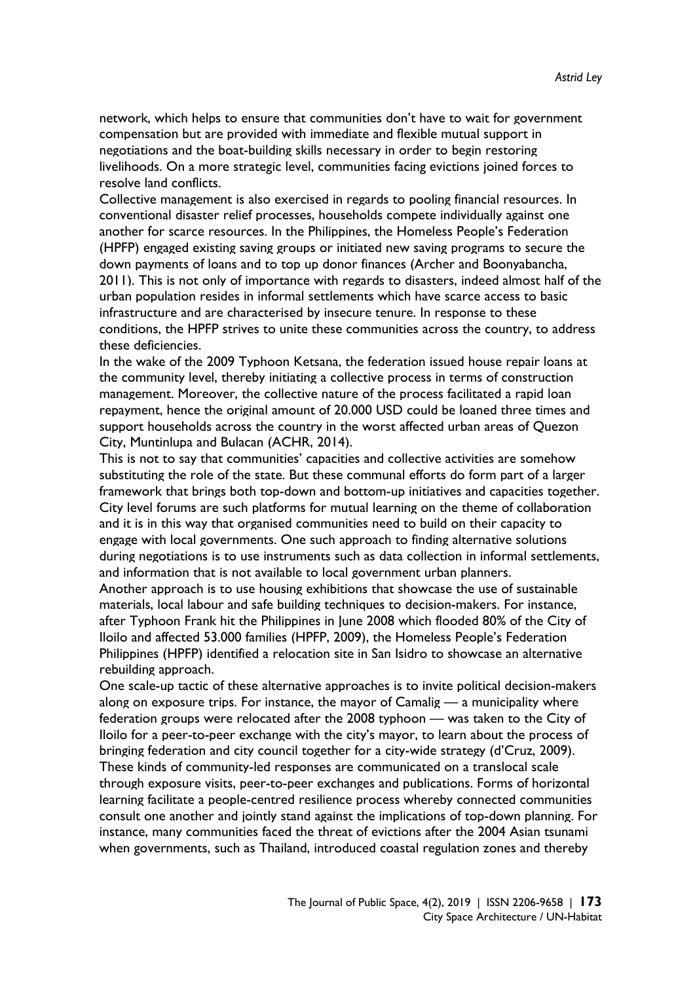network, which helps to ensure that communities don't have to wait for government compensation but are provided with immediate and flexible mutual support in negotiations and the boat-building skills necessary in order to begin restoring livelihoods. On a more strategic level, communities facing evictions joined forces to resolve land conflicts.

Collective management is also exercised in regards to pooling financial resources. In conventional disaster relief processes, households compete individually against one another for scarce resources. In the Philippines, the Homeless People's Federation (HPFP) engaged existing saving groups or initiated new saving programs to secure the down payments of loans and to top up donor finances (Archer and Boonyabancha, 2011). This is not only of importance with regards to disasters, indeed almost half of the urban population resides in informal settlements which have scarce access to basic infrastructure and are characterised by insecure tenure. In response to these conditions, the HPFP strives to unite these communities across the country, to address these deficiencies.

In the wake of the 2009 Typhoon Ketsana, the federation issued house repair loans at the community level, thereby initiating a collective process in terms of construction management. Moreover, the collective nature of the process facilitated a rapid loan repayment, hence the original amount of 20.000 USD could be loaned three times and support households across the country in the worst affected urban areas of Quezon City, Muntinlupa and Bulacan (ACHR, 2014).

This is not to say that communities' capacities and collective activities are somehow substituting the role of the state. But these communal efforts do form part of a larger framework that brings both top-down and bottom-up initiatives and capacities together. City level forums are such platforms for mutual learning on the theme of collaboration and it is in this way that organised communities need to build on their capacity to engage with local governments. One such approach to finding alternative solutions during negotiations is to use instruments such as data collection in informal settlements, and information that is not available to local government urban planners.

Another approach is to use housing exhibitions that showcase the use of sustainable materials, local labour and safe building techniques to decision-makers. For instance, after Typhoon Frank hit the Philippines in June 2008 which flooded 80% of the City of Iloilo and affected 53.000 families (HPFP, 2009), the Homeless People's Federation Philippines (HPFP) identified a relocation site in San Isidro to showcase an alternative rebuilding approach.

One scale-up tactic of these alternative approaches is to invite political decision-makers along on exposure trips. For instance, the mayor of Camalig — a municipality where federation groups were relocated after the 2008 typhoon — was taken to the City of Iloilo for a peer-to-peer exchange with the city's mayor, to learn about the process of bringing federation and city council together for a city-wide strategy (d'Cruz, 2009). These kinds of community-led responses are communicated on a translocal scale through exposure visits, peer-to-peer exchanges and publications. Forms of horizontal learning facilitate a people-centred resilience process whereby connected communities consult one another and jointly stand against the implications of top-down planning. For instance, many communities faced the threat of evictions after the 2004 Asian tsunami when governments, such as Thailand, introduced coastal regulation zones and thereby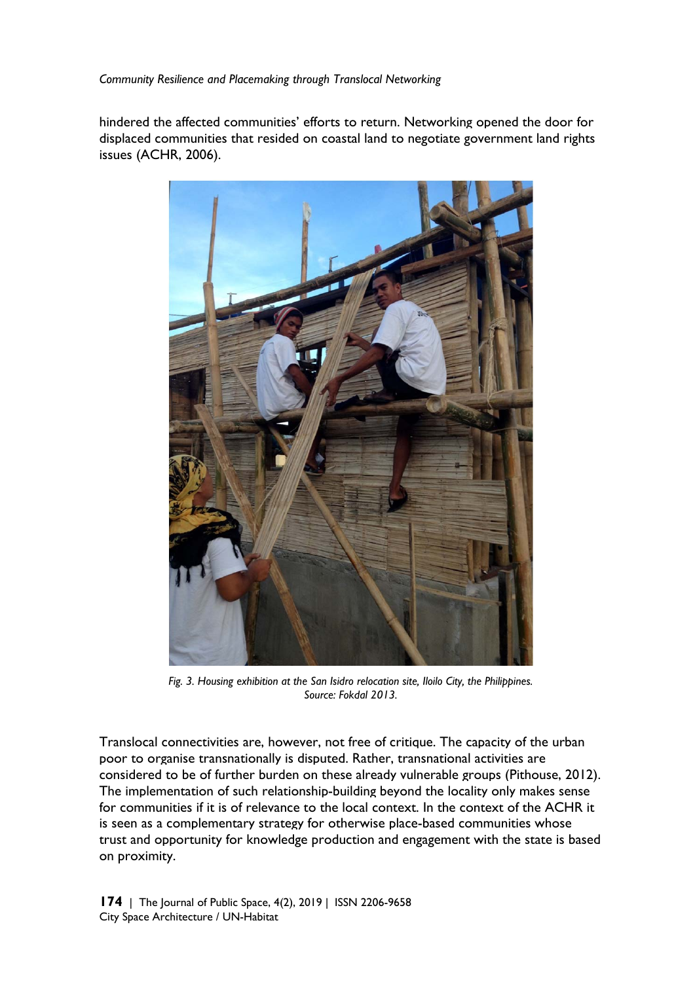*Community Resilience and Placemaking through Translocal Networking* 

hindered the affected communities' efforts to return. Networking opened the door for displaced communities that resided on coastal land to negotiate government land rights issues (ACHR, 2006).



*Fig. 3. Housing exhibition at the San Isidro relocation site, Iloilo City, the Philippines. Source: Fokdal 2013.* 

Translocal connectivities are, however, not free of critique. The capacity of the urban poor to organise transnationally is disputed. Rather, transnational activities are considered to be of further burden on these already vulnerable groups (Pithouse, 2012). The implementation of such relationship-building beyond the locality only makes sense for communities if it is of relevance to the local context. In the context of the ACHR it is seen as a complementary strategy for otherwise place-based communities whose trust and opportunity for knowledge production and engagement with the state is based on proximity.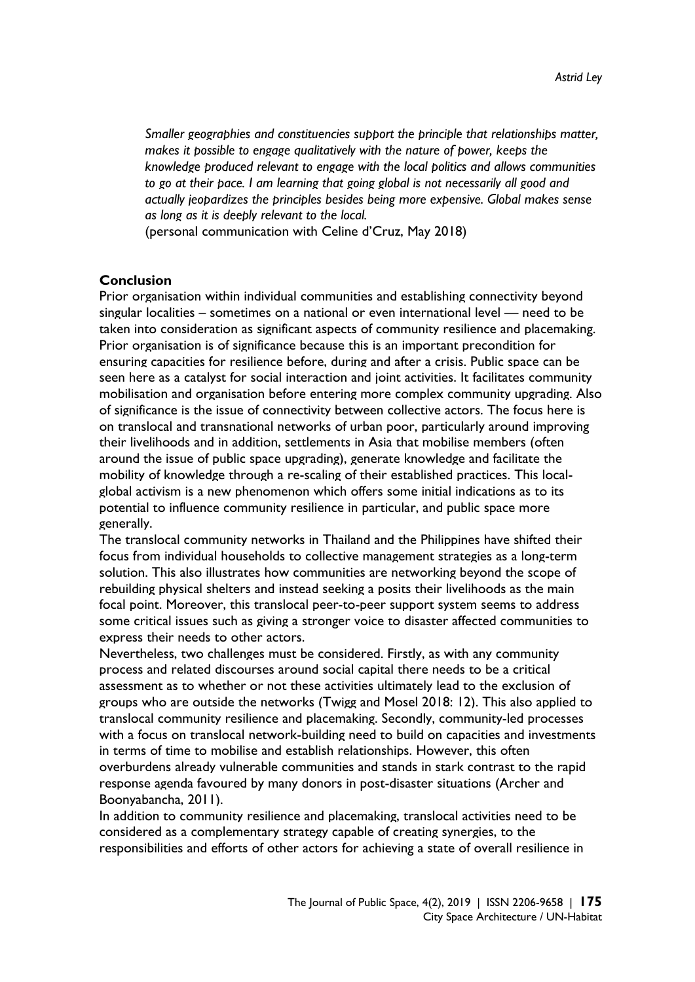*Smaller geographies and constituencies support the principle that relationships matter, makes it possible to engage qualitatively with the nature of power, keeps the knowledge produced relevant to engage with the local politics and allows communities to go at their pace. I am learning that going global is not necessarily all good and actually jeopardizes the principles besides being more expensive. Global makes sense as long as it is deeply relevant to the local.*

(personal communication with Celine d'Cruz, May 2018)

#### **Conclusion**

Prior organisation within individual communities and establishing connectivity beyond singular localities – sometimes on a national or even international level — need to be taken into consideration as significant aspects of community resilience and placemaking. Prior organisation is of significance because this is an important precondition for ensuring capacities for resilience before, during and after a crisis. Public space can be seen here as a catalyst for social interaction and joint activities. It facilitates community mobilisation and organisation before entering more complex community upgrading. Also of significance is the issue of connectivity between collective actors. The focus here is on translocal and transnational networks of urban poor, particularly around improving their livelihoods and in addition, settlements in Asia that mobilise members (often around the issue of public space upgrading), generate knowledge and facilitate the mobility of knowledge through a re-scaling of their established practices. This localglobal activism is a new phenomenon which offers some initial indications as to its potential to influence community resilience in particular, and public space more generally.

The translocal community networks in Thailand and the Philippines have shifted their focus from individual households to collective management strategies as a long-term solution. This also illustrates how communities are networking beyond the scope of rebuilding physical shelters and instead seeking a posits their livelihoods as the main focal point. Moreover, this translocal peer-to-peer support system seems to address some critical issues such as giving a stronger voice to disaster affected communities to express their needs to other actors.

Nevertheless, two challenges must be considered. Firstly, as with any community process and related discourses around social capital there needs to be a critical assessment as to whether or not these activities ultimately lead to the exclusion of groups who are outside the networks (Twigg and Mosel 2018: 12). This also applied to translocal community resilience and placemaking. Secondly, community-led processes with a focus on translocal network-building need to build on capacities and investments in terms of time to mobilise and establish relationships. However, this often overburdens already vulnerable communities and stands in stark contrast to the rapid response agenda favoured by many donors in post-disaster situations (Archer and Boonyabancha, 2011).

In addition to community resilience and placemaking, translocal activities need to be considered as a complementary strategy capable of creating synergies, to the responsibilities and efforts of other actors for achieving a state of overall resilience in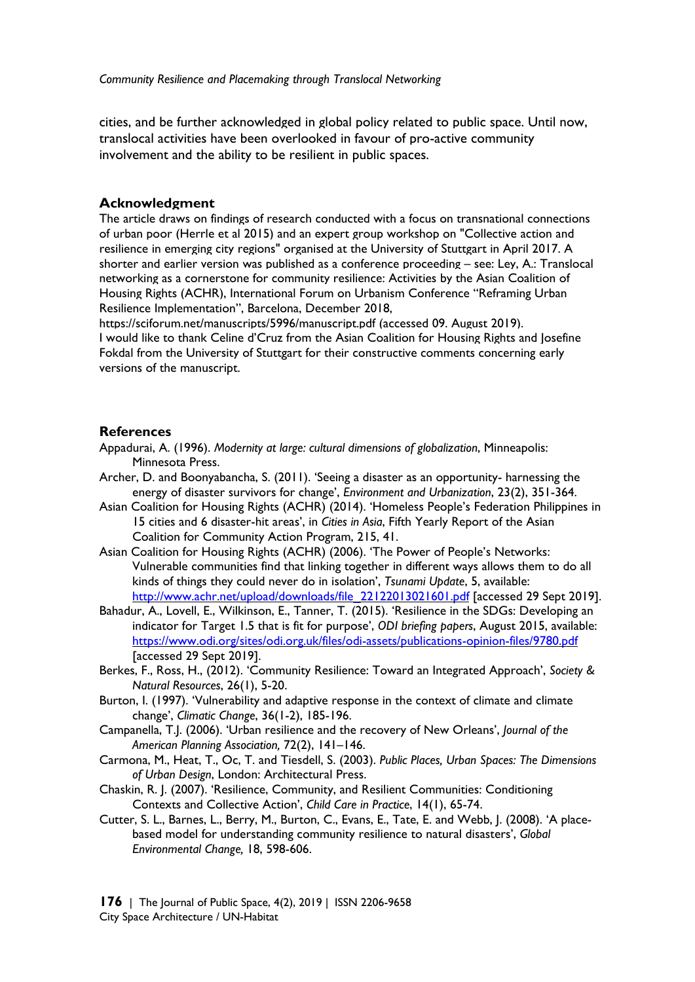cities, and be further acknowledged in global policy related to public space. Until now, translocal activities have been overlooked in favour of pro-active community involvement and the ability to be resilient in public spaces.

## **Acknowledgment**

The article draws on findings of research conducted with a focus on transnational connections of urban poor (Herrle et al 2015) and an expert group workshop on "Collective action and resilience in emerging city regions" organised at the University of Stuttgart in April 2017. A shorter and earlier version was published as a conference proceeding – see: Ley, A.: Translocal networking as a cornerstone for community resilience: Activities by the Asian Coalition of Housing Rights (ACHR), International Forum on Urbanism Conference "Reframing Urban Resilience Implementation", Barcelona, December 2018,

https://sciforum.net/manuscripts/5996/manuscript.pdf (accessed 09. August 2019). I would like to thank Celine d'Cruz from the Asian Coalition for Housing Rights and Josefine Fokdal from the University of Stuttgart for their constructive comments concerning early versions of the manuscript.

#### **References**

- Appadurai, A. (1996). *Modernity at large: cultural dimensions of globalization*, Minneapolis: Minnesota Press.
- Archer, D. and Boonyabancha, S. (2011). 'Seeing a disaster as an opportunity- harnessing the energy of disaster survivors for change', *Environment and Urbanization*, 23(2), 351-364.
- Asian Coalition for Housing Rights (ACHR) (2014). 'Homeless People's Federation Philippines in 15 cities and 6 disaster-hit areas', in *Cities in Asia*, Fifth Yearly Report of the Asian Coalition for Community Action Program, 215, 41.
- Asian Coalition for Housing Rights (ACHR) (2006). 'The Power of People's Networks: Vulnerable communities find that linking together in different ways allows them to do all kinds of things they could never do in isolation', *Tsunami Update*, 5, available: http://www.achr.net/upload/downloads/file\_22122013021601.pdf [accessed 29 Sept 2019].
- Bahadur, A., Lovell, E., Wilkinson, E., Tanner, T. (2015). 'Resilience in the SDGs: Developing an indicator for Target 1.5 that is fit for purpose', *ODI briefing papers*, August 2015, available: https://www.odi.org/sites/odi.org.uk/files/odi-assets/publications-opinion-files/9780.pdf [accessed 29 Sept 2019].
- Berkes, F., Ross, H., (2012). 'Community Resilience: Toward an Integrated Approach', *Society & Natural Resources*, 26(1), 5-20.
- Burton, I. (1997). 'Vulnerability and adaptive response in the context of climate and climate change', *Climatic Change*, 36(1-2), 185-196.
- Campanella, T.J. (2006). 'Urban resilience and the recovery of New Orleans', *Journal of the American Planning Association,* 72(2), 141–146.
- Carmona, M., Heat, T., Oc, T. and Tiesdell, S. (2003). *Public Places, Urban Spaces: The Dimensions of Urban Design*, London: Architectural Press.
- Chaskin, R. J. (2007). 'Resilience, Community, and Resilient Communities: Conditioning Contexts and Collective Action', *Child Care in Practice*, 14(1), 65-74.
- Cutter, S. L., Barnes, L., Berry, M., Burton, C., Evans, E., Tate, E. and Webb, J. (2008). 'A placebased model for understanding community resilience to natural disasters', *Global Environmental Change,* 18, 598-606.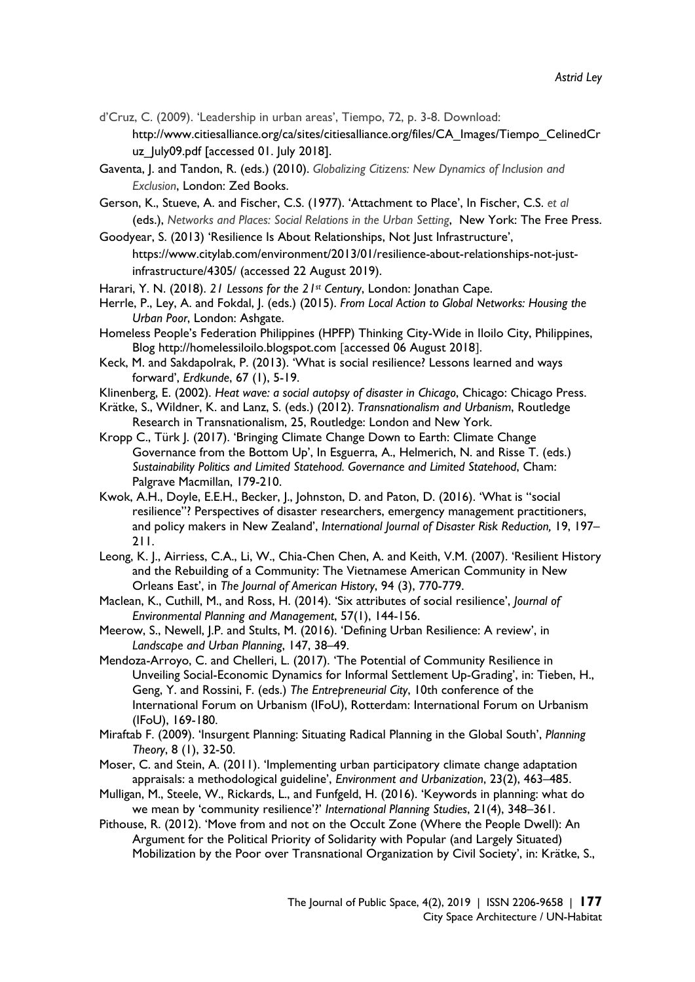- d'Cruz, C. (2009). 'Leadership in urban areas', Tiempo, 72, p. 3-8. Download: http://www.citiesalliance.org/ca/sites/citiesalliance.org/files/CA\_Images/Tiempo\_CelinedCr uz July09.pdf [accessed 01. July 2018].
- Gaventa, J. and Tandon, R. (eds.) (2010). *Globalizing Citizens: New Dynamics of Inclusion and Exclusion*, London: Zed Books.
- Gerson, K., Stueve, A. and Fischer, C.S. (1977). 'Attachment to Place', In Fischer, C.S. *et al* (eds.), *Networks and Places: Social Relations in the Urban Setting*, New York: The Free Press.
- Goodyear, S. (2013) 'Resilience Is About Relationships, Not Just Infrastructure', https://www.citylab.com/environment/2013/01/resilience-about-relationships-not-justinfrastructure/4305/ (accessed 22 August 2019).
- Harari, Y. N. (2018). *21 Lessons for the 21st Century*, London: Jonathan Cape.
- Herrle, P., Ley, A. and Fokdal, J. (eds.) (2015). *From Local Action to Global Networks: Housing the Urban Poor*, London: Ashgate.
- Homeless People's Federation Philippines (HPFP) Thinking City-Wide in Iloilo City, Philippines, Blog http://homelessiloilo.blogspot.com [accessed 06 August 2018].
- Keck, M. and Sakdapolrak, P. (2013). 'What is social resilience? Lessons learned and ways forward', *Erdkunde*, 67 (1), 5-19.
- Klinenberg, E. (2002). *Heat wave: a social autopsy of disaster in Chicago*, Chicago: Chicago Press.
- Krätke, S., Wildner, K. and Lanz, S. (eds.) (2012). *Transnationalism and Urbanism*, Routledge Research in Transnationalism, 25, Routledge: London and New York.
- Kropp C., Türk J. (2017). 'Bringing Climate Change Down to Earth: Climate Change Governance from the Bottom Up', In Esguerra, A., Helmerich, N. and Risse T. (eds.) *Sustainability Politics and Limited Statehood. Governance and Limited Statehood*, Cham: Palgrave Macmillan, 179-210.
- Kwok, A.H., Doyle, E.E.H., Becker, J., Johnston, D. and Paton, D. (2016). 'What is "social resilience"? Perspectives of disaster researchers, emergency management practitioners, and policy makers in New Zealand', *International Journal of Disaster Risk Reduction,* 19, 197– 211.
- Leong, K. J., Airriess, C.A., Li, W., Chia-Chen Chen, A. and Keith, V.M. (2007). 'Resilient History and the Rebuilding of a Community: The Vietnamese American Community in New Orleans East', in *The Journal of American History*, 94 (3), 770-779.
- Maclean, K., Cuthill, M., and Ross, H. (2014). 'Six attributes of social resilience', *Journal of Environmental Planning and Management*, 57(1), 144-156.
- Meerow, S., Newell, J.P. and Stults, M. (2016). 'Defining Urban Resilience: A review', in *Landscape and Urban Planning*, 147, 38–49.
- Mendoza-Arroyo, C. and Chelleri, L. (2017). 'The Potential of Community Resilience in Unveiling Social-Economic Dynamics for Informal Settlement Up-Grading', in: Tieben, H., Geng, Y. and Rossini, F. (eds.) *The Entrepreneurial City*, 10th conference of the International Forum on Urbanism (IFoU), Rotterdam: International Forum on Urbanism (IFoU), 169-180.
- Miraftab F. (2009). 'Insurgent Planning: Situating Radical Planning in the Global South', *Planning Theory*, 8 (1), 32-50.
- Moser, C. and Stein, A. (2011). 'Implementing urban participatory climate change adaptation appraisals: a methodological guideline', *Environment and Urbanization*, 23(2), 463–485.
- Mulligan, M., Steele, W., Rickards, L., and Funfgeld, H. (2016). 'Keywords in planning: what do we mean by 'community resilience'?' *International Planning Studies*, 21(4), 348–361.
- Pithouse, R. (2012). 'Move from and not on the Occult Zone (Where the People Dwell): An Argument for the Political Priority of Solidarity with Popular (and Largely Situated) Mobilization by the Poor over Transnational Organization by Civil Society', in: Krätke, S.,